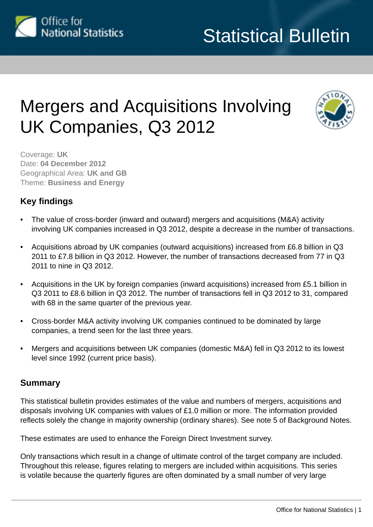

# Mergers and Acquisitions Involving UK Companies, Q3 2012



Coverage: **UK** Date: **04 December 2012** Geographical Area: **UK and GB** Theme: **Business and Energy**

## **Key findings**

- The value of cross-border (inward and outward) mergers and acquisitions (M&A) activity involving UK companies increased in Q3 2012, despite a decrease in the number of transactions.
- Acquisitions abroad by UK companies (outward acquisitions) increased from £6.8 billion in Q3 2011 to £7.8 billion in Q3 2012. However, the number of transactions decreased from 77 in Q3 2011 to nine in Q3 2012.
- Acquisitions in the UK by foreign companies (inward acquisitions) increased from £5.1 billion in Q3 2011 to £8.6 billion in Q3 2012. The number of transactions fell in Q3 2012 to 31, compared with 68 in the same quarter of the previous year.
- Cross-border M&A activity involving UK companies continued to be dominated by large companies, a trend seen for the last three years.
- Mergers and acquisitions between UK companies (domestic M&A) fell in Q3 2012 to its lowest level since 1992 (current price basis).

#### **Summary**

This statistical bulletin provides estimates of the value and numbers of mergers, acquisitions and disposals involving UK companies with values of £1.0 million or more. The information provided reflects solely the change in majority ownership (ordinary shares). See note 5 of Background Notes.

These estimates are used to enhance the Foreign Direct Investment survey.

Only transactions which result in a change of ultimate control of the target company are included. Throughout this release, figures relating to mergers are included within acquisitions. This series is volatile because the quarterly figures are often dominated by a small number of very large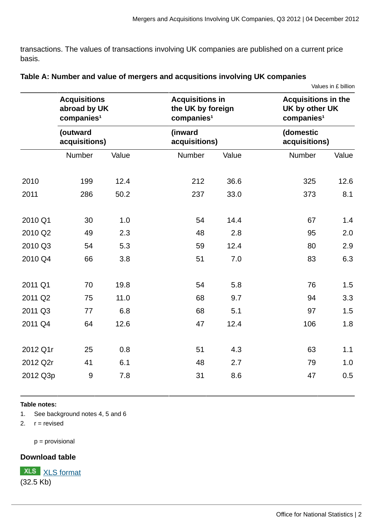transactions. The values of transactions involving UK companies are published on a current price basis.

|          |                                                               |       |                                                                       |       |                                                                        | Values in £ billion |  |
|----------|---------------------------------------------------------------|-------|-----------------------------------------------------------------------|-------|------------------------------------------------------------------------|---------------------|--|
|          | <b>Acquisitions</b><br>abroad by UK<br>companies <sup>1</sup> |       | <b>Acquisitions in</b><br>the UK by foreign<br>companies <sup>1</sup> |       | <b>Acquisitions in the</b><br>UK by other UK<br>companies <sup>1</sup> |                     |  |
|          | (outward<br>acquisitions)                                     |       | (inward<br>acquisitions)                                              |       | (domestic<br>acquisitions)                                             |                     |  |
|          | Number                                                        | Value | Number                                                                | Value | Number                                                                 | Value               |  |
| 2010     | 199                                                           | 12.4  | 212                                                                   | 36.6  | 325                                                                    | 12.6                |  |
| 2011     | 286                                                           | 50.2  | 237                                                                   | 33.0  | 373                                                                    | 8.1                 |  |
| 2010 Q1  | 30                                                            | 1.0   | 54                                                                    | 14.4  | 67                                                                     | 1.4                 |  |
| 2010 Q2  | 49                                                            | 2.3   | 48                                                                    | 2.8   | 95                                                                     | 2.0                 |  |
| 2010 Q3  | 54                                                            | 5.3   | 59                                                                    | 12.4  | 80                                                                     | 2.9                 |  |
| 2010 Q4  | 66                                                            | 3.8   | 51                                                                    | 7.0   | 83                                                                     | 6.3                 |  |
| 2011 Q1  | 70                                                            | 19.8  | 54                                                                    | 5.8   | 76                                                                     | 1.5                 |  |
| 2011 Q2  | 75                                                            | 11.0  | 68                                                                    | 9.7   | 94                                                                     | 3.3                 |  |
| 2011 Q3  | 77                                                            | 6.8   | 68                                                                    | 5.1   | 97                                                                     | 1.5                 |  |
| 2011 Q4  | 64                                                            | 12.6  | 47                                                                    | 12.4  | 106                                                                    | 1.8                 |  |
| 2012 Q1r | 25                                                            | 0.8   | 51                                                                    | 4.3   | 63                                                                     | 1.1                 |  |
| 2012 Q2r | 41                                                            | 6.1   | 48                                                                    | 2.7   | 79                                                                     | 1.0                 |  |
| 2012 Q3p | $\boldsymbol{9}$                                              | 7.8   | 31                                                                    | 8.6   | 47                                                                     | 0.5                 |  |

| Table A: Number and value of mergers and acqusitions involving UK companies |  |
|-----------------------------------------------------------------------------|--|
|-----------------------------------------------------------------------------|--|

#### **Table notes:**

1. See background notes 4, 5 and 6

2.  $r =$  revised

p = provisional

#### **Download table**

**XLS** [XLS format](http://www.ons.gov.uk:80/ons/rel/international-transactions/mergers-and-acquisitions-involving-uk-companies/q3-2012/prt-m-a-table-a.xls) (32.5 Kb)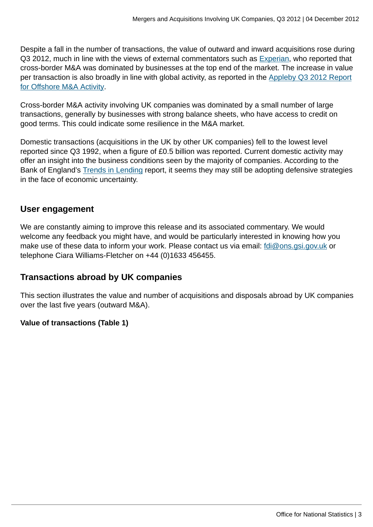Despite a fall in the number of transactions, the value of outward and inward acquisitions rose during Q3 2012, much in line with the views of external commentators such as [Experian,](http://www.experian.co.uk/assets/consumer-information/white-papers/corpfin/cf-monthly-review-aug-2012.pdf) who reported that cross-border M&A was dominated by businesses at the top end of the market. The increase in value per transaction is also broadly in line with global activity, as reported in the [Appleby Q3 2012 Report](http://www.applebyglobal.com/news-and-deals/appleby-reports-offshore-manda-activity-for-q3-2012.aspx) [for Offshore M&A Activity](http://www.applebyglobal.com/news-and-deals/appleby-reports-offshore-manda-activity-for-q3-2012.aspx).

Cross-border M&A activity involving UK companies was dominated by a small number of large transactions, generally by businesses with strong balance sheets, who have access to credit on good terms. This could indicate some resilience in the M&A market.

Domestic transactions (acquisitions in the UK by other UK companies) fell to the lowest level reported since Q3 1992, when a figure of £0.5 billion was reported. Current domestic activity may offer an insight into the business conditions seen by the majority of companies. According to the Bank of England's [Trends in Lending](http://www.bankofengland.co.uk/publications/Documents/other/monetary/trendsOctober12.pdf) report, it seems they may still be adopting defensive strategies in the face of economic uncertainty.

#### **User engagement**

We are constantly aiming to improve this release and its associated commentary. We would welcome any feedback you might have, and would be particularly interested in knowing how you make use of these data to inform your work. Please contact us via email: [fdi@ons.gsi.gov.uk](mailto:fdi@ons.gsi.gov.uk) or telephone Ciara Williams-Fletcher on +44 (0)1633 456455.

### **Transactions abroad by UK companies**

This section illustrates the value and number of acquisitions and disposals abroad by UK companies over the last five years (outward M&A).

#### **Value of transactions (Table 1)**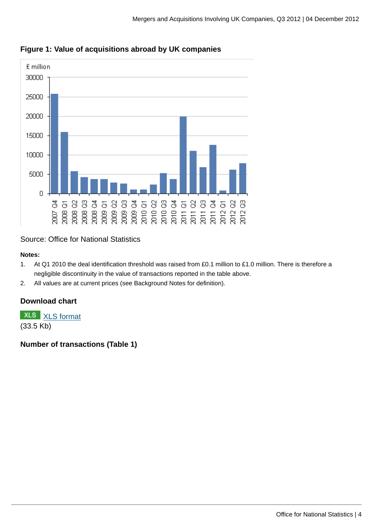

### **Figure 1: Value of acquisitions abroad by UK companies**

Source: Office for National Statistics

#### **Notes:**

- 1. At Q1 2010 the deal identification threshold was raised from £0.1 million to £1.0 million. There is therefore a negligible discontinuity in the value of transactions reported in the table above.
- 2. All values are at current prices (see Background Notes for definition).

#### **Download chart**

**XLS** [XLS format](http://www.ons.gov.uk:80/ons/rel/international-transactions/mergers-and-acquisitions-involving-uk-companies/q3-2012/chd-m-a-figure-1.xls)

(33.5 Kb)

**Number of transactions (Table 1)**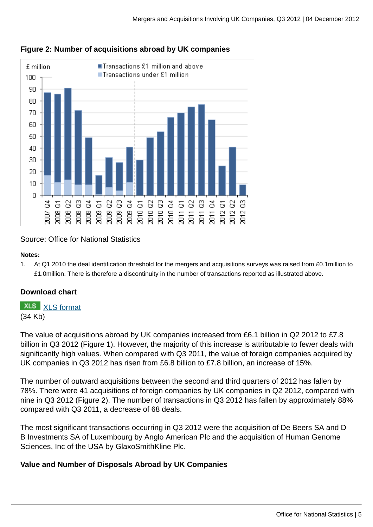

#### **Figure 2: Number of acquisitions abroad by UK companies**

Source: Office for National Statistics

#### **Notes:**

1. At Q1 2010 the deal identification threshold for the mergers and acquisitions surveys was raised from £0.1million to £1.0million. There is therefore a discontinuity in the number of transactions reported as illustrated above.

#### **Download chart**

**XLS** [XLS format](http://www.ons.gov.uk:80/ons/rel/international-transactions/mergers-and-acquisitions-involving-uk-companies/q3-2012/chd-m-a-figure-2.xls)

(34 Kb)

The value of acquisitions abroad by UK companies increased from £6.1 billion in Q2 2012 to £7.8 billion in Q3 2012 (Figure 1). However, the majority of this increase is attributable to fewer deals with significantly high values. When compared with Q3 2011, the value of foreign companies acquired by UK companies in Q3 2012 has risen from £6.8 billion to £7.8 billion, an increase of 15%.

The number of outward acquisitions between the second and third quarters of 2012 has fallen by 78%. There were 41 acquisitions of foreign companies by UK companies in Q2 2012, compared with nine in Q3 2012 (Figure 2). The number of transactions in Q3 2012 has fallen by approximately 88% compared with Q3 2011, a decrease of 68 deals.

The most significant transactions occurring in Q3 2012 were the acquisition of De Beers SA and D B Investments SA of Luxembourg by Anglo American Plc and the acquisition of Human Genome Sciences, Inc of the USA by GlaxoSmithKline Plc.

#### **Value and Number of Disposals Abroad by UK Companies**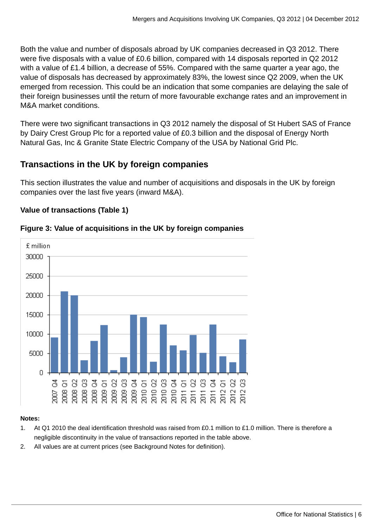Both the value and number of disposals abroad by UK companies decreased in Q3 2012. There were five disposals with a value of £0.6 billion, compared with 14 disposals reported in Q2 2012 with a value of £1.4 billion, a decrease of 55%. Compared with the same quarter a year ago, the value of disposals has decreased by approximately 83%, the lowest since Q2 2009, when the UK emerged from recession. This could be an indication that some companies are delaying the sale of their foreign businesses until the return of more favourable exchange rates and an improvement in M&A market conditions.

There were two significant transactions in Q3 2012 namely the disposal of St Hubert SAS of France by Dairy Crest Group Plc for a reported value of £0.3 billion and the disposal of Energy North Natural Gas, Inc & Granite State Electric Company of the USA by National Grid Plc.

### **Transactions in the UK by foreign companies**

This section illustrates the value and number of acquisitions and disposals in the UK by foreign companies over the last five years (inward M&A).

#### **Value of transactions (Table 1)**



#### **Figure 3: Value of acquisitions in the UK by foreign companies**

#### **Notes:**

- 1. At Q1 2010 the deal identification threshold was raised from £0.1 million to £1.0 million. There is therefore a negligible discontinuity in the value of transactions reported in the table above.
- 2. All values are at current prices (see Background Notes for definition).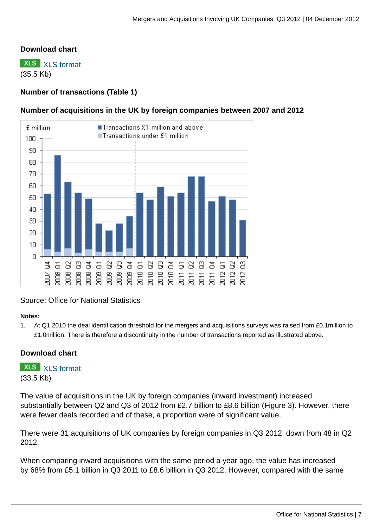#### **Download chart**

**XLS** [XLS format](http://www.ons.gov.uk:80/ons/rel/international-transactions/mergers-and-acquisitions-involving-uk-companies/q3-2012/chd-m-a-figure-3.xls) (35.5 Kb)

#### **Number of transactions (Table 1)**

#### **Number of acquisitions in the UK by foreign companies between 2007 and 2012**



#### Source: Office for National Statistics

#### **Notes:**

1. At Q1 2010 the deal identification threshold for the mergers and acquisitions surveys was raised from £0.1million to £1.0million. There is therefore a discontinuity in the number of transactions reported as illustrated above.

#### **Download chart**

#### **XLS** [XLS format](http://www.ons.gov.uk:80/ons/rel/international-transactions/mergers-and-acquisitions-involving-uk-companies/q3-2012/chd-m-a-figure-4.xls) (33.5 Kb)

The value of acquisitions in the UK by foreign companies (inward investment) increased substantially between Q2 and Q3 of 2012 from £2.7 billion to £8.6 billion (Figure 3). However, there were fewer deals recorded and of these, a proportion were of significant value.

There were 31 acquisitions of UK companies by foreign companies in Q3 2012, down from 48 in Q2 2012.

When comparing inward acquisitions with the same period a year ago, the value has increased by 68% from £5.1 billion in Q3 2011 to £8.6 billion in Q3 2012. However, compared with the same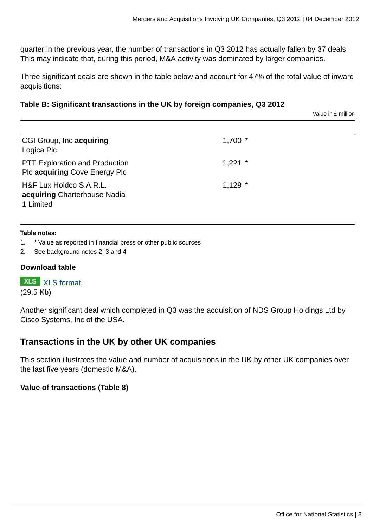quarter in the previous year, the number of transactions in Q3 2012 has actually fallen by 37 deals. This may indicate that, during this period, M&A activity was dominated by larger companies.

Three significant deals are shown in the table below and account for 47% of the total value of inward acquisitions:

#### **Table B: Significant transactions in the UK by foreign companies, Q3 2012**

Value in £ million

| CGI Group, Inc acquiring<br>Logica Plc                                 | $1,700$ * |
|------------------------------------------------------------------------|-----------|
| <b>PTT Exploration and Production</b><br>Plc acquiring Cove Energy Plc | $1,221$ * |
| H&F Lux Holdco S.A.R.L.<br>acquiring Charterhouse Nadia<br>1 Limited   | $1,129$ * |

#### **Table notes:**

- 1. \* Value as reported in financial press or other public sources
- 2. See background notes 2, 3 and 4

#### **Download table**

**XLS** [XLS format](http://www.ons.gov.uk:80/ons/rel/international-transactions/mergers-and-acquisitions-involving-uk-companies/q3-2012/prt-m-a-table-b.xls) (29.5 Kb)

Another significant deal which completed in Q3 was the acquisition of NDS Group Holdings Ltd by Cisco Systems, Inc of the USA.

#### **Transactions in the UK by other UK companies**

This section illustrates the value and number of acquisitions in the UK by other UK companies over the last five years (domestic M&A).

#### **Value of transactions (Table 8)**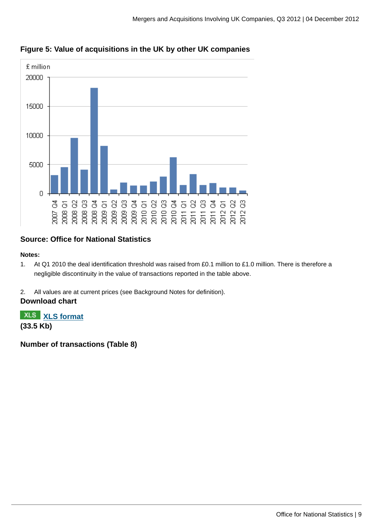

### **Figure 5: Value of acquisitions in the UK by other UK companies**

#### **Source: Office for National Statistics**

#### **Notes:**

- 1. At Q1 2010 the deal identification threshold was raised from £0.1 million to £1.0 million. There is therefore a negligible discontinuity in the value of transactions reported in the table above.
- 2. All values are at current prices (see Background Notes for definition).

#### **Download chart**

**[XLS format](http://www.ons.gov.uk:80/ons/rel/international-transactions/mergers-and-acquisitions-involving-uk-companies/q3-2012/chd-m-a-figure-5.xls) (33.5 Kb)**

**Number of transactions (Table 8)**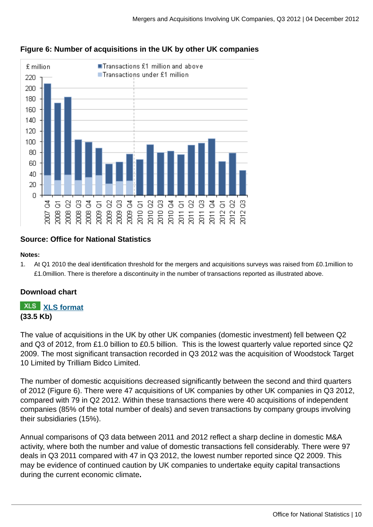

#### **Figure 6: Number of acquisitions in the UK by other UK companies**

#### **Source: Office for National Statistics**

#### **Notes:**

1. At Q1 2010 the deal identification threshold for the mergers and acquisitions surveys was raised from £0.1million to £1.0million. There is therefore a discontinuity in the number of transactions reported as illustrated above.

#### **Download chart**

#### **[XLS format](http://www.ons.gov.uk:80/ons/rel/international-transactions/mergers-and-acquisitions-involving-uk-companies/q3-2012/chd-m-a-figure-6.xls) (33.5 Kb)**

The value of acquisitions in the UK by other UK companies (domestic investment) fell between Q2 and Q3 of 2012, from £1.0 billion to £0.5 billion. This is the lowest quarterly value reported since Q2 2009. The most significant transaction recorded in Q3 2012 was the acquisition of Woodstock Target 10 Limited by Trilliam Bidco Limited.

The number of domestic acquisitions decreased significantly between the second and third quarters of 2012 (Figure 6). There were 47 acquisitions of UK companies by other UK companies in Q3 2012, compared with 79 in Q2 2012. Within these transactions there were 40 acquisitions of independent companies (85% of the total number of deals) and seven transactions by company groups involving their subsidiaries (15%).

Annual comparisons of Q3 data between 2011 and 2012 reflect a sharp decline in domestic M&A activity, where both the number and value of domestic transactions fell considerably. There were 97 deals in Q3 2011 compared with 47 in Q3 2012, the lowest number reported since Q2 2009. This may be evidence of continued caution by UK companies to undertake equity capital transactions during the current economic climate**.**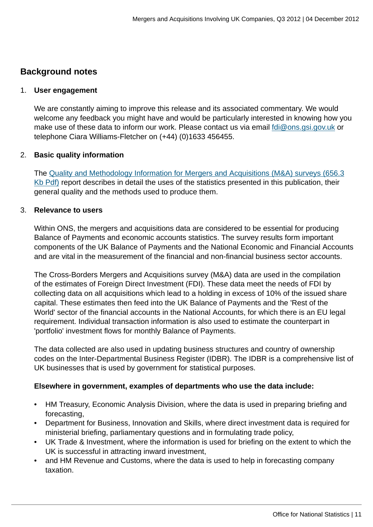#### **Background notes**

#### 1. **User engagement**

We are constantly aiming to improve this release and its associated commentary. We would welcome any feedback you might have and would be particularly interested in knowing how you make use of these data to inform our work. Please contact us via email [fdi@ons.gsi.gov.uk](mailto:fdi@ons.gsi.gov.uk) or telephone Ciara Williams-Fletcher on (+44) (0)1633 456455.

#### 2. **Basic quality information**

The [Quality and Methodology Information for Mergers and Acquisitions \(M&A\) surveys \(656.3](http://www.ons.gov.uk:80/ons/guide-method/method-quality/quality/quality-information/business-and-energy/mergers-and-acquisitions.pdf) [Kb Pdf\)](http://www.ons.gov.uk:80/ons/guide-method/method-quality/quality/quality-information/business-and-energy/mergers-and-acquisitions.pdf) report describes in detail the uses of the statistics presented in this publication, their general quality and the methods used to produce them.

#### 3. **Relevance to users**

Within ONS, the mergers and acquisitions data are considered to be essential for producing Balance of Payments and economic accounts statistics. The survey results form important components of the UK Balance of Payments and the National Economic and Financial Accounts and are vital in the measurement of the financial and non-financial business sector accounts.

The Cross-Borders Mergers and Acquisitions survey (M&A) data are used in the compilation of the estimates of Foreign Direct Investment (FDI). These data meet the needs of FDI by collecting data on all acquisitions which lead to a holding in excess of 10% of the issued share capital. These estimates then feed into the UK Balance of Payments and the 'Rest of the World' sector of the financial accounts in the National Accounts, for which there is an EU legal requirement. Individual transaction information is also used to estimate the counterpart in 'portfolio' investment flows for monthly Balance of Payments.

The data collected are also used in updating business structures and country of ownership codes on the Inter-Departmental Business Register (IDBR). The IDBR is a comprehensive list of UK businesses that is used by government for statistical purposes.

#### **Elsewhere in government, examples of departments who use the data include:**

- HM Treasury, Economic Analysis Division, where the data is used in preparing briefing and forecasting,
- Department for Business, Innovation and Skills, where direct investment data is required for ministerial briefing, parliamentary questions and in formulating trade policy,
- UK Trade & Investment, where the information is used for briefing on the extent to which the UK is successful in attracting inward investment,
- and HM Revenue and Customs, where the data is used to help in forecasting company taxation.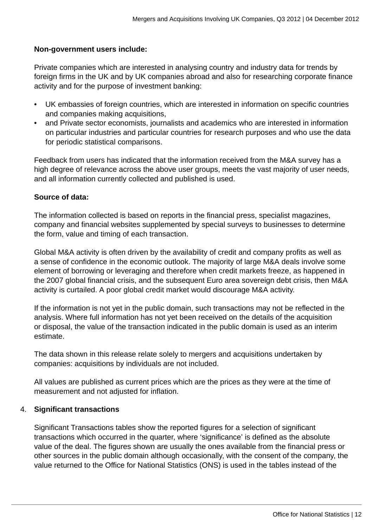#### **Non-government users include:**

Private companies which are interested in analysing country and industry data for trends by foreign firms in the UK and by UK companies abroad and also for researching corporate finance activity and for the purpose of investment banking:

- UK embassies of foreign countries, which are interested in information on specific countries and companies making acquisitions,
- and Private sector economists, journalists and academics who are interested in information on particular industries and particular countries for research purposes and who use the data for periodic statistical comparisons.

Feedback from users has indicated that the information received from the M&A survey has a high degree of relevance across the above user groups, meets the vast majority of user needs, and all information currently collected and published is used.

#### **Source of data:**

The information collected is based on reports in the financial press, specialist magazines, company and financial websites supplemented by special surveys to businesses to determine the form, value and timing of each transaction.

Global M&A activity is often driven by the availability of credit and company profits as well as a sense of confidence in the economic outlook. The majority of large M&A deals involve some element of borrowing or leveraging and therefore when credit markets freeze, as happened in the 2007 global financial crisis, and the subsequent Euro area sovereign debt crisis, then M&A activity is curtailed. A poor global credit market would discourage M&A activity.

If the information is not yet in the public domain, such transactions may not be reflected in the analysis. Where full information has not yet been received on the details of the acquisition or disposal, the value of the transaction indicated in the public domain is used as an interim estimate.

The data shown in this release relate solely to mergers and acquisitions undertaken by companies: acquisitions by individuals are not included.

All values are published as current prices which are the prices as they were at the time of measurement and not adjusted for inflation.

#### 4. **Significant transactions**

Significant Transactions tables show the reported figures for a selection of significant transactions which occurred in the quarter, where 'significance' is defined as the absolute value of the deal. The figures shown are usually the ones available from the financial press or other sources in the public domain although occasionally, with the consent of the company, the value returned to the Office for National Statistics (ONS) is used in the tables instead of the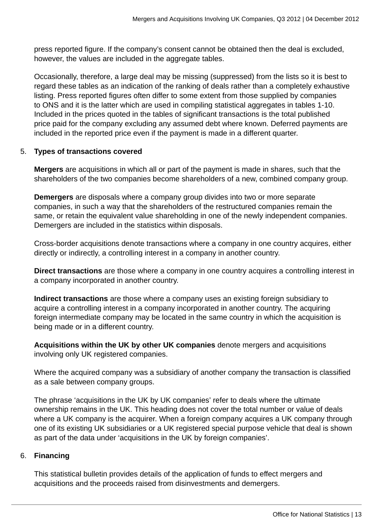press reported figure. If the company's consent cannot be obtained then the deal is excluded, however, the values are included in the aggregate tables.

Occasionally, therefore, a large deal may be missing (suppressed) from the lists so it is best to regard these tables as an indication of the ranking of deals rather than a completely exhaustive listing. Press reported figures often differ to some extent from those supplied by companies to ONS and it is the latter which are used in compiling statistical aggregates in tables 1-10. Included in the prices quoted in the tables of significant transactions is the total published price paid for the company excluding any assumed debt where known. Deferred payments are included in the reported price even if the payment is made in a different quarter.

#### 5. **Types of transactions covered**

**Mergers** are acquisitions in which all or part of the payment is made in shares, such that the shareholders of the two companies become shareholders of a new, combined company group.

**Demergers** are disposals where a company group divides into two or more separate companies, in such a way that the shareholders of the restructured companies remain the same, or retain the equivalent value shareholding in one of the newly independent companies. Demergers are included in the statistics within disposals.

Cross-border acquisitions denote transactions where a company in one country acquires, either directly or indirectly, a controlling interest in a company in another country.

**Direct transactions** are those where a company in one country acquires a controlling interest in a company incorporated in another country.

**Indirect transactions** are those where a company uses an existing foreign subsidiary to acquire a controlling interest in a company incorporated in another country. The acquiring foreign intermediate company may be located in the same country in which the acquisition is being made or in a different country.

**Acquisitions within the UK by other UK companies** denote mergers and acquisitions involving only UK registered companies.

Where the acquired company was a subsidiary of another company the transaction is classified as a sale between company groups.

The phrase 'acquisitions in the UK by UK companies' refer to deals where the ultimate ownership remains in the UK. This heading does not cover the total number or value of deals where a UK company is the acquirer. When a foreign company acquires a UK company through one of its existing UK subsidiaries or a UK registered special purpose vehicle that deal is shown as part of the data under 'acquisitions in the UK by foreign companies'.

#### 6. **Financing**

This statistical bulletin provides details of the application of funds to effect mergers and acquisitions and the proceeds raised from disinvestments and demergers.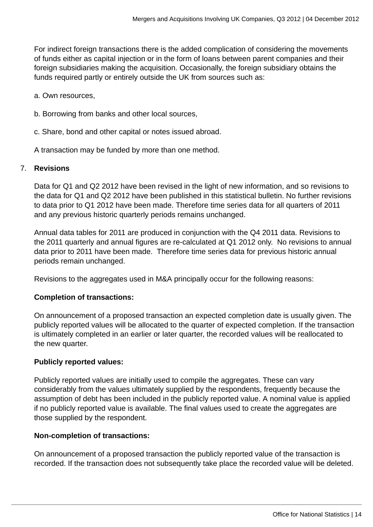For indirect foreign transactions there is the added complication of considering the movements of funds either as capital injection or in the form of loans between parent companies and their foreign subsidiaries making the acquisition. Occasionally, the foreign subsidiary obtains the funds required partly or entirely outside the UK from sources such as:

a. Own resources,

- b. Borrowing from banks and other local sources,
- c. Share, bond and other capital or notes issued abroad.

A transaction may be funded by more than one method.

#### 7. **Revisions**

Data for Q1 and Q2 2012 have been revised in the light of new information, and so revisions to the data for Q1 and Q2 2012 have been published in this statistical bulletin. No further revisions to data prior to Q1 2012 have been made. Therefore time series data for all quarters of 2011 and any previous historic quarterly periods remains unchanged.

Annual data tables for 2011 are produced in conjunction with the Q4 2011 data. Revisions to the 2011 quarterly and annual figures are re-calculated at Q1 2012 only. No revisions to annual data prior to 2011 have been made. Therefore time series data for previous historic annual periods remain unchanged.

Revisions to the aggregates used in M&A principally occur for the following reasons:

#### **Completion of transactions:**

On announcement of a proposed transaction an expected completion date is usually given. The publicly reported values will be allocated to the quarter of expected completion. If the transaction is ultimately completed in an earlier or later quarter, the recorded values will be reallocated to the new quarter.

#### **Publicly reported values:**

Publicly reported values are initially used to compile the aggregates. These can vary considerably from the values ultimately supplied by the respondents, frequently because the assumption of debt has been included in the publicly reported value. A nominal value is applied if no publicly reported value is available. The final values used to create the aggregates are those supplied by the respondent.

#### **Non-completion of transactions:**

On announcement of a proposed transaction the publicly reported value of the transaction is recorded. If the transaction does not subsequently take place the recorded value will be deleted.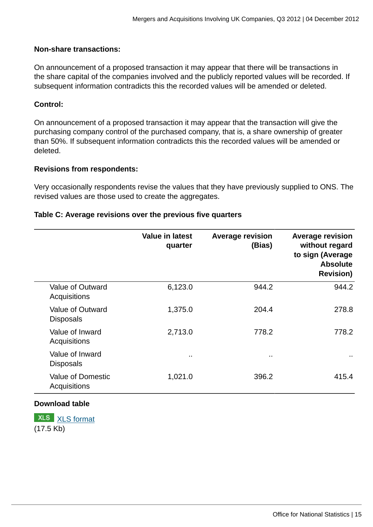#### **Non-share transactions:**

On announcement of a proposed transaction it may appear that there will be transactions in the share capital of the companies involved and the publicly reported values will be recorded. If subsequent information contradicts this the recorded values will be amended or deleted.

#### **Control:**

On announcement of a proposed transaction it may appear that the transaction will give the purchasing company control of the purchased company, that is, a share ownership of greater than 50%. If subsequent information contradicts this the recorded values will be amended or deleted.

#### **Revisions from respondents:**

Very occasionally respondents revise the values that they have previously supplied to ONS. The revised values are those used to create the aggregates.

|                                          | <b>Value in latest</b><br>quarter | <b>Average revision</b><br>(Bias) | <b>Average revision</b><br>without regard<br>to sign (Average<br><b>Absolute</b><br><b>Revision)</b> |
|------------------------------------------|-----------------------------------|-----------------------------------|------------------------------------------------------------------------------------------------------|
| Value of Outward<br>Acquisitions         | 6,123.0                           | 944.2                             | 944.2                                                                                                |
| Value of Outward<br><b>Disposals</b>     | 1,375.0                           | 204.4                             | 278.8                                                                                                |
| Value of Inward<br>Acquisitions          | 2,713.0                           | 778.2                             | 778.2                                                                                                |
| Value of Inward<br><b>Disposals</b>      | $\sim$                            | $\ddot{\phantom{1}}$              | $\cdots$                                                                                             |
| <b>Value of Domestic</b><br>Acquisitions | 1,021.0                           | 396.2                             | 415.4                                                                                                |

#### **Table C: Average revisions over the previous five quarters**

#### **Download table**

**XLS** [XLS format](http://www.ons.gov.uk:80/ons/rel/international-transactions/mergers-and-acquisitions-involving-uk-companies/q3-2012/prt-m-a-table-c.xls) (17.5 Kb)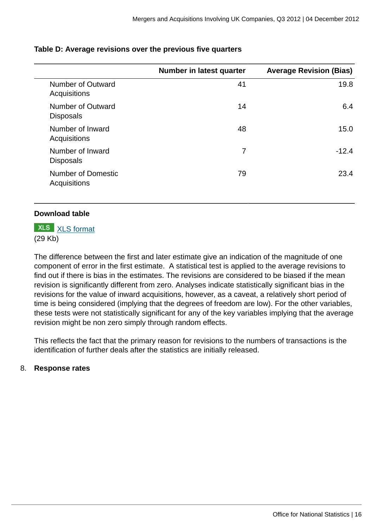|                                                  | Number in latest quarter | <b>Average Revision (Bias)</b> |
|--------------------------------------------------|--------------------------|--------------------------------|
| Number of Outward<br>Acquisitions                | 41                       | 19.8                           |
| Number of Outward<br><b>Disposals</b>            | 14                       | 6.4                            |
| Number of Inward<br>Acquisitions                 | 48                       | 15.0                           |
| Number of Inward<br><b>Disposals</b>             | 7                        | $-12.4$                        |
| <b>Number of Domestic</b><br><b>Acquisitions</b> | 79                       | 23.4                           |

#### **Table D: Average revisions over the previous five quarters**

#### **Download table**

**XLS** [XLS format](http://www.ons.gov.uk:80/ons/rel/international-transactions/mergers-and-acquisitions-involving-uk-companies/q3-2012/prt-m-a-table-d.xls) (29 Kb)

The difference between the first and later estimate give an indication of the magnitude of one component of error in the first estimate. A statistical test is applied to the average revisions to find out if there is bias in the estimates. The revisions are considered to be biased if the mean revision is significantly different from zero. Analyses indicate statistically significant bias in the revisions for the value of inward acquisitions, however, as a caveat, a relatively short period of time is being considered (implying that the degrees of freedom are low). For the other variables, these tests were not statistically significant for any of the key variables implying that the average revision might be non zero simply through random effects.

This reflects the fact that the primary reason for revisions to the numbers of transactions is the identification of further deals after the statistics are initially released.

#### 8. **Response rates**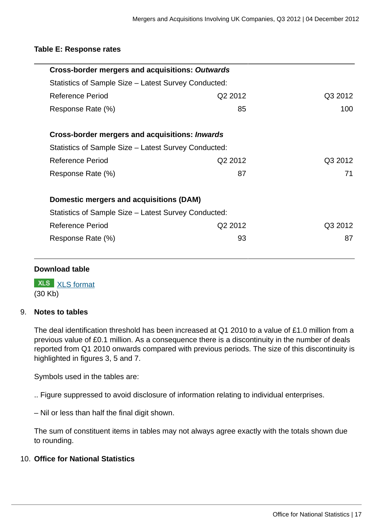#### **Table E: Response rates**

| Cross-border mergers and acquisitions: Outwards       |         |         |
|-------------------------------------------------------|---------|---------|
| Statistics of Sample Size – Latest Survey Conducted:  |         |         |
| Reference Period                                      | Q2 2012 | Q3 2012 |
| Response Rate (%)                                     | 85      | 100     |
| Cross-border mergers and acquisitions: <i>Inwards</i> |         |         |
| Statistics of Sample Size – Latest Survey Conducted:  |         |         |
| Reference Period                                      | Q2 2012 | Q3 2012 |
| Response Rate (%)                                     | 87      | 71      |
| Domestic mergers and acquisitions (DAM)               |         |         |
| Statistics of Sample Size – Latest Survey Conducted:  |         |         |
| Reference Period                                      | Q2 2012 | Q3 2012 |
| Response Rate (%)                                     | 93      | 87      |
|                                                       |         |         |

#### **Download table**

**XLS** [XLS format](http://www.ons.gov.uk:80/ons/rel/international-transactions/mergers-and-acquisitions-involving-uk-companies/q3-2012/prt-m-a-table-e.xls) (30 Kb)

#### 9. **Notes to tables**

The deal identification threshold has been increased at Q1 2010 to a value of £1.0 million from a previous value of £0.1 million. As a consequence there is a discontinuity in the number of deals reported from Q1 2010 onwards compared with previous periods. The size of this discontinuity is highlighted in figures 3, 5 and 7.

Symbols used in the tables are:

.. Figure suppressed to avoid disclosure of information relating to individual enterprises.

– Nil or less than half the final digit shown.

The sum of constituent items in tables may not always agree exactly with the totals shown due to rounding.

#### 10. **Office for National Statistics**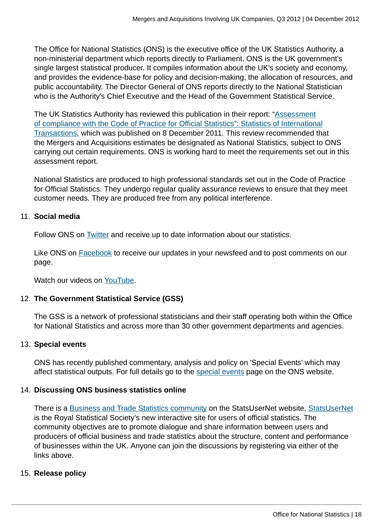The Office for National Statistics (ONS) is the executive office of the UK Statistics Authority, a non-ministerial department which reports directly to Parliament. ONS is the UK government's single largest statistical producer. It compiles information about the UK's society and economy, and provides the evidence-base for policy and decision-making, the allocation of resources, and public accountability. The Director General of ONS reports directly to the National Statistician who is the Authority's Chief Executive and the Head of the Government Statistical Service.

The UK Statistics Authority has reviewed this publication in their report: ["Assessment](http://www.statisticsauthority.gov.uk/assessment/assessment/assessment-reports/assessment-report-164---statistics-on-international-transactions.pdf) [of compliance with the Code of Practice for Official Statistics": Statistics of International](http://www.statisticsauthority.gov.uk/assessment/assessment/assessment-reports/assessment-report-164---statistics-on-international-transactions.pdf) [Transactions,](http://www.statisticsauthority.gov.uk/assessment/assessment/assessment-reports/assessment-report-164---statistics-on-international-transactions.pdf) which was published on 8 December 2011. This review recommended that the Mergers and Acquisitions estimates be designated as National Statistics, subject to ONS carrying out certain requirements. ONS is working hard to meet the requirements set out in this assessment report.

National Statistics are produced to high professional standards set out in the Code of Practice for Official Statistics. They undergo regular quality assurance reviews to ensure that they meet customer needs. They are produced free from any political interference.

#### 11. **Social media**

Follow ONS on [Twitter](http://www.ons.gov.uk:80/ons/external-links/social-media/twitter.html) and receive up to date information about our statistics.

Like ONS on **[Facebook](http://www.ons.gov.uk:80/ons/external-links/social-media/index.html)** to receive our updates in your newsfeed and to post comments on our page.

Watch our videos on [YouTube.](http://www.ons.gov.uk/ons/external-links/social-media/youtube.html)

#### 12. **The Government Statistical Service (GSS)**

The GSS is a network of professional statisticians and their staff operating both within the Office for National Statistics and across more than 30 other government departments and agencies.

#### 13. **Special events**

ONS has recently published commentary, analysis and policy on 'Special Events' which may affect statistical outputs. For full details go to the [special events](http://www.ons.gov.uk:80/ons/guide-method/method-quality/general-methodology/special-events-group/index.html) page on the ONS website.

#### 14. **Discussing ONS business statistics online**

There is a [Business and Trade Statistics community](http://www.statsusernet.org.uk/StatsUserNet/Communities/ViewCommunities/CommunityDetails/?CommunityKey=36dd28ed-e10a-440e-b7fb-86650b746c43) on the [StatsUserNet](http://www.statsusernet.org.uk/Home/) website. StatsUserNet is the Royal Statistical Society's new interactive site for users of official statistics. The community objectives are to promote dialogue and share information between users and producers of official business and trade statistics about the structure, content and performance of businesses within the UK. Anyone can join the discussions by registering via either of the links above.

#### 15. **Release policy**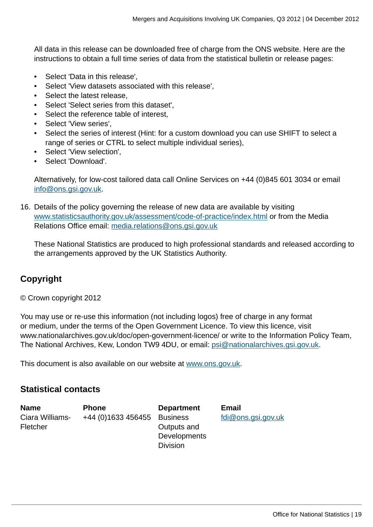All data in this release can be downloaded free of charge from the ONS website. Here are the instructions to obtain a full time series of data from the statistical bulletin or release pages:

- Select 'Data in this release',
- Select 'View datasets associated with this release',
- Select the latest release,
- Select 'Select series from this dataset',
- Select the reference table of interest,
- Select 'View series',
- Select the series of interest (Hint: for a custom download you can use SHIFT to select a range of series or CTRL to select multiple individual series),
- Select 'View selection',
- Select 'Download'.

Alternatively, for low-cost tailored data call Online Services on +44 (0)845 601 3034 or email [info@ons.gsi.gov.uk.](mailto:info@ons.gsi.gov.uk)

16. Details of the policy governing the release of new data are available by visiting [www.statisticsauthority.gov.uk/assessment/code-of-practice/index.html](http://www.statisticsauthority.gov.uk/assessment/code-of-practice/index.html) or from the Media Relations Office email: [media.relations@ons.gsi.gov.uk](mailto:media.relations@ons.gsi.gov.uk)

These National Statistics are produced to high professional standards and released according to the arrangements approved by the UK Statistics Authority.

### **Copyright**

© Crown copyright 2012

You may use or re-use this information (not including logos) free of charge in any format or medium, under the terms of the Open Government Licence. To view this licence, visit www.nationalarchives.gov.uk/doc/open-government-licence/ or write to the Information Policy Team, The National Archives, Kew, London TW9 4DU, or email: [psi@nationalarchives.gsi.gov.uk](mailto:psi@nationalarchives.gsi.gov.uk).

This document is also available on our website at [www.ons.gov.uk.](http://www.ons.gov.uk/)

#### **Statistical contacts**

| <b>Name</b>     | <b>Phone</b>       | <b>Department</b> | <b>Email</b>       |
|-----------------|--------------------|-------------------|--------------------|
| Ciara Williams- | +44 (0)1633 456455 | <b>Business</b>   | fdi@ons.gsi.gov.uk |
| Fletcher        |                    | Outputs and       |                    |
|                 |                    | Developments      |                    |
|                 |                    | <b>Division</b>   |                    |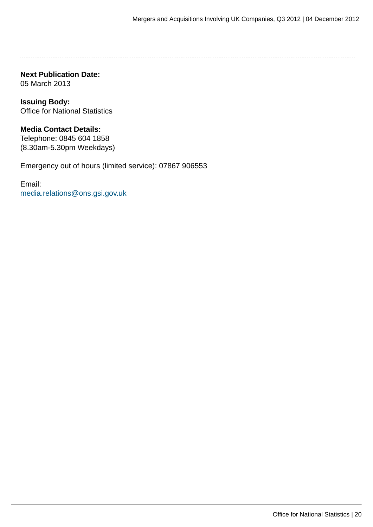**Next Publication Date:** 05 March 2013

**Issuing Body:** Office for National Statistics

#### **Media Contact Details:** Telephone: 0845 604 1858

(8.30am-5.30pm Weekdays)

Emergency out of hours (limited service): 07867 906553

Email: [media.relations@ons.gsi.gov.uk](mailto:media.relations@ons.gsi.gov.uk)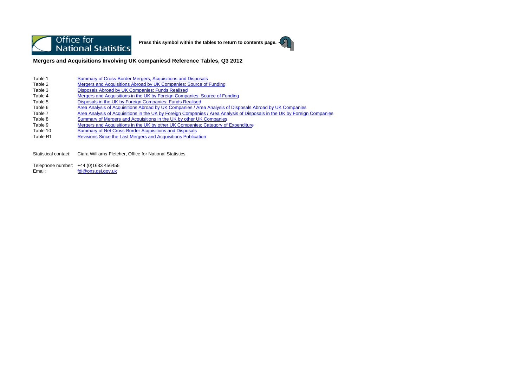

**Press this symbol within the tables to return to contents page.**



**Mergers and Acquisitions Involving UK companiesd Reference Tables, Q3 2012**

- Table 1Summary of Cross-Border Mergers, Acquisitions and Disposals
- Table 2Mergers and Acquisitions Abroad by UK Companies: Source of Funding
- Table 3Disposals Abroad by UK Companies: Funds Realised
- Table 4Mergers and Acquisitions in the UK by Foreign Companies: Source of Funding
- Table 5Disposals in the UK by Foreign Companies: Funds Realised
- Table 6Area Analysis of Acquisitions Abroad by UK Companies / Area Analysis of Disposals Abroad by UK Companies
- Table 7Area Analysis of Acquisitions in the UK by Foreign Companies / Area Analysis of Disposals in the UK by Foreign Companies
- Table 8Summary of Mergers and Acquisitions in the UK by other UK Companies
- Table 9Mergers and Acquisitions in the UK by other UK Companies: Category of Expenditure
- Table 10Summary of Net Cross-Border Acquisitions and Disposals
- Table R1Revisions Since the Last Mergers and Acquisitions Publication

Statistical contact: Ciara Williams-Fletcher, Office for National Statistics,

Telephone number: +44 (0)1633 456455 Email:fdi@ons.gsi.gov.uk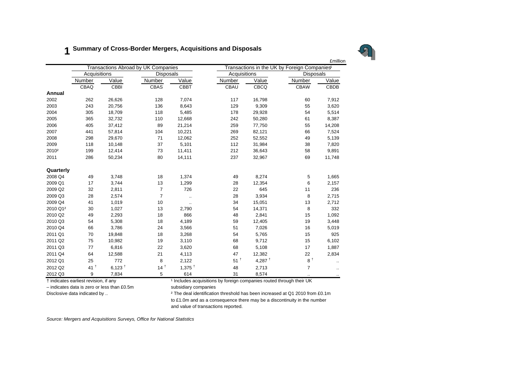#### **1Summary of Cross-Border Mergers, Acquisitions and Disposals**



Number Value Number Value Number Value Number ValueValue CBAQ CBBI CBAS CBBT CBAU CBCQ CBAW CBDB**Annual**2002 262 26,626 128 7,074 117 16,798 60 7,912 2003 243 20,756 136 8,643 129 9,309 55 3,620 2004 305 18,709 118 5,485 178 29,928 54 5,514 2005 365 32,732 110 12,668 242 50,280 61 8,387 2006 405 37,412 89 21,214 259 77,750 55 14,208 2007 441 57,814 104 10,221 269 82,121 66 7,524 2008 298 29,670 71 12,062 252 52,552 49 5,139 2009 118 10,148 37 5,101 112 31,984 38 7,820 2010² 199 12,414 73 11,411 212 36,643 58 9,891 2011 286 50,234 80 14,111 237 32,967 69 11,748 **Quarterly** 2008 Q4 49 3,748 18 1,374 49 8,274 5 1,665 2009 Q1 17 3,744 13 1,299 28 12,354 6 2,157 2009 Q2 32 2,811 7 726 22 645 11 236 2009 Q3 28 2,574 7 .. 28 3,934 8 2,715 2009 Q4 41 1,019 10 .. 34 15,051 13 2,712 2010 Q1² 30 1,027 13 2,790 54 14,371 8 332 £millionTransactions Abroad by UK Companies Transactions in the UK by Foreign Companies<sup>1</sup> Acquisitions Disposals Disposals Acquisitions Disposals 2010 Q2 49 2,293 18 866 48 2,841 15 1,092 2010 Q3 54 5.308 18 4.189 59 12.405 19 3.448 2010 Q4 66 3,786 24 3,566 51 7,026 16 5,019 2011 Q1 70 19,848 18 3,268 54 5,765 15 925 2011 Q2 75 10,982 19 3,110 68 9,712 15 6,102 2011 Q3 77 6,816 22 3,620 68 5,108 17 1,887 2011 Q4 64 12,588 21 4,113 47 12,382 22 2,834 2012 Q1 25 772 8 2.122  $51^{\frac{1}{1}}$  4.287  $^{\frac{1}{3}}$  8  $^{\frac{1}{2}}$  ... 2012 Q2 41<sup>+</sup>  $1^{\dagger}$  6,123  $^{\dagger}$  14  $^{\dagger}$  1,375  $^{\dagger}$  48 2,713  $^{\dagger}$  7 ... 2012 Q3 9 7,834 5 614 31 8,574 .. ..

† indicates earliest revision, if any ¹ Includes acquisitions by foreign companies routed through their UK

 $-$  indicates data is zero or less than £0.5m subsidiary companies

Disclosive data indicated by ..  $\frac{1}{2}$  The deal identification threshold has been increased at Q1 2010 from £0.1m to £1.0m and as a consequence there may be a discontinuity in the number and value of transactions reported.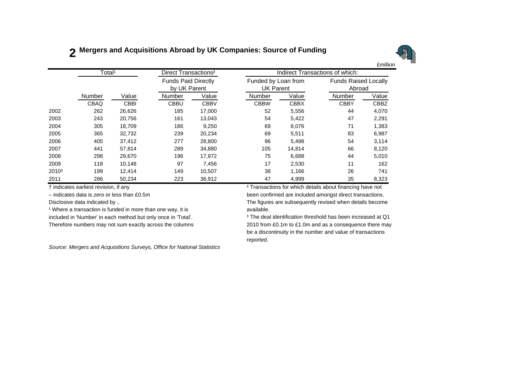# **2 Mergers and Acquisitions Abroad by UK Companies: Source of Funding**



|                   | Total <sup>1</sup> |             | Direct Transactions <sup>2</sup> |                                            |             |             | Indirect Transactions of which:         |       |                                       |  |  |
|-------------------|--------------------|-------------|----------------------------------|--------------------------------------------|-------------|-------------|-----------------------------------------|-------|---------------------------------------|--|--|
|                   |                    |             |                                  | <b>Funds Paid Directly</b><br>by UK Parent |             |             | Funded by Loan from<br><b>UK Parent</b> |       | <b>Funds Raised Locally</b><br>Abroad |  |  |
|                   | Number             | Value       | <b>Number</b>                    | Value                                      | Number      | Value       | Number                                  | Value |                                       |  |  |
|                   | CBAQ               | <b>CBBI</b> | <b>CBBU</b>                      | <b>CBBV</b>                                | <b>CBBW</b> | <b>CBBX</b> | <b>CBBY</b>                             | CBBZ  |                                       |  |  |
| 2002              | 262                | 26,626      | 185                              | 17,000                                     | 52          | 5,556       | 44                                      | 4,070 |                                       |  |  |
| 2003              | 243                | 20,756      | 161                              | 13,043                                     | 54          | 5,422       | 47                                      | 2,291 |                                       |  |  |
| 2004              | 305                | 18,709      | 186                              | 9,250                                      | 69          | 8,076       | 71                                      | 1,383 |                                       |  |  |
| 2005              | 365                | 32,732      | 239                              | 20,234                                     | 69          | 5,511       | 83                                      | 6,987 |                                       |  |  |
| 2006              | 405                | 37,412      | 277                              | 28,800                                     | 96          | 5,498       | 54                                      | 3,114 |                                       |  |  |
| 2007              | 441                | 57,814      | 289                              | 34,880                                     | 105         | 14,814      | 66                                      | 8,120 |                                       |  |  |
| 2008              | 298                | 29,670      | 196                              | 17,972                                     | 75          | 6.688       | 44                                      | 5,010 |                                       |  |  |
| 2009              | 118                | 10,148      | 97                               | 7,456                                      | 17          | 2,530       | 11                                      | 162   |                                       |  |  |
| 2010 <sup>3</sup> | 199                | 12,414      | 149                              | 10,507                                     | 38          | 1.166       | 26                                      | 741   |                                       |  |  |
| 2011              | 286                | 50,234      | 223                              | 36,912                                     | 47          | 4,999       | 35                                      | 8,323 |                                       |  |  |

<sup>1</sup> Where a transaction is funded in more than one way, it is **available**.

included in 'Number' in each method but only once in 'Total'. <sup>3</sup> The deal identification threshold has been increased at Q1

*Source: Mergers and Acquisitions Surveys, Office for National Statistics*

† indicates earliest revision, if any ² Transactions for which details about financing have not – indicates data is zero or less than £0.5m been confirmed are included amongst direct transactions. Disclosive data indicated by .. The figures are subsequently revised when details become

Therefore numbers may not sum exactly across the columns 2010 from £0.1m to £1.0m and as a consequence there may be a discontinuity in the number and value of transactions reported.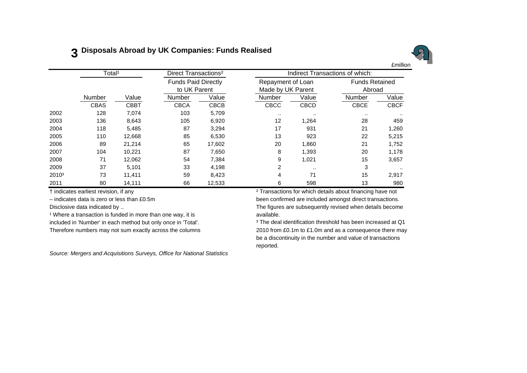# **3 Disposals Abroad by UK Companies: Funds Realised**



|                   | Total <sup>1</sup> |             | Direct Transactions <sup>2</sup> |                                            |             |                                        | Indirect Transactions of which: |             |  |  |  |
|-------------------|--------------------|-------------|----------------------------------|--------------------------------------------|-------------|----------------------------------------|---------------------------------|-------------|--|--|--|
|                   |                    |             |                                  | <b>Funds Paid Directly</b><br>to UK Parent |             | Repayment of Loan<br>Made by UK Parent | <b>Funds Retained</b><br>Abroad |             |  |  |  |
|                   | Number             | Value       | Number                           | Value                                      | Number      | Value                                  | Number                          | Value       |  |  |  |
|                   | <b>CBAS</b>        | <b>CBBT</b> | <b>CBCA</b>                      | <b>CBCB</b>                                | <b>CBCC</b> | <b>CBCD</b>                            | <b>CBCE</b>                     | <b>CBCF</b> |  |  |  |
| 2002              | 128                | 7,074       | 103                              | 5,709                                      | $\cdots$    | $\cdot$ .                              |                                 | $\cdots$    |  |  |  |
| 2003              | 136                | 8,643       | 105                              | 6,920                                      | 12          | 1,264                                  | 28                              | 459         |  |  |  |
| 2004              | 118                | 5,485       | 87                               | 3,294                                      | 17          | 931                                    | 21                              | 1,260       |  |  |  |
| 2005              | 110                | 12,668      | 85                               | 6,530                                      | 13          | 923                                    | 22                              | 5,215       |  |  |  |
| 2006              | 89                 | 21,214      | 65                               | 17,602                                     | 20          | 1.860                                  | 21                              | 1,752       |  |  |  |
| 2007              | 104                | 10,221      | 87                               | 7,650                                      | 8           | 1,393                                  | 20                              | 1,178       |  |  |  |
| 2008              | 71                 | 12,062      | 54                               | 7,384                                      | 9           | 1,021                                  | 15                              | 3,657       |  |  |  |
| 2009              | 37                 | 5,101       | 33                               | 4,198                                      | 2           | $\cdot$ .                              | 3                               | $\cdots$    |  |  |  |
| 2010 <sup>3</sup> | 73                 | 11,411      | 59                               | 8,423                                      | 4           | 71                                     | 15                              | 2,917       |  |  |  |
| 2011              | 80                 | 14,111      | 66                               | 12,533                                     | 6           | 598                                    | 13                              | 980         |  |  |  |

<sup>1</sup> Where a transaction is funded in more than one way, it is **axillable**.

*Source: Mergers and Acquisitions Surveys, Office for National Statistics*

† indicates earliest revision, if any ² Transactions for which details about financing have not – indicates data is zero or less than £0.5m been confirmed are included amongst direct transactions. Disclosive data indicated by .. The figures are subsequently revised when details become

included in 'Number' in each method but only once in 'Total'. <sup>3</sup> The deal identification threshold has been increased at Q1 Therefore numbers may not sum exactly across the columns 2010 from £0.1m to £1.0m and as a consequence there may be a discontinuity in the number and value of transactions reported.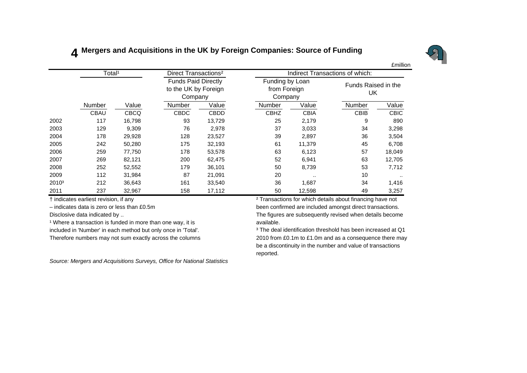# **4 Mergers and Acquisitions in the UK by Foreign Companies: Source of Funding**



Number Value Number Value Number Value Number Value $\overline{\text{Value}}$  CBAU CBCQ CBDC CBDD CBHZ CBIA CBIB CBIC2002 117 16,798 93 13,729 25 2,179 9 890 2003 129 9,309 76 2,978 37 3,033 34 3,298 2004 178 29,928 128 23,527 39 2,897 36 3,504 2005 242 50,280 175 32,193 61 11,379 45 6,708 2006 259 77,750 178 53,578 63 6,123 57 18,049 2007 269 82,121 200 62,475 52 6,941 63 12,705 2008 252 52,552 179 36,101 50 8,739 53 7,712 2009 112 31,984 87 21,091 20 .. 10 .. 2010³ 212 36,643 161 33,540 36 1,687 34 1,416 2011 237 32,967 158 17,112 50 12,598 49 3,257 Funds Paid Directly to the UK by Foreign Company Funding by Loan from Foreign Company Funds Raised in the UK£millionTotal<sup>1</sup> Direct Transactions<sup>2</sup> Indirect Transactions of which:

Disclosive data indicated by ...

 $\frac{1}{2}$  Where a transaction is funded in more than one way, it is a subsequently revised way.

included in 'Number' in each method but only once in 'Total'. <sup>3</sup> The deal identification threshold has been increased at Q1

*Source: Mergers and Acquisitions Surveys, Office for National Statistics*

† indicates earliest revision, if any ² Transactions for which details about financing have not – indicates data is zero or less than £0.5m been confirmed are included amongst direct transactions. The figures are subsequently revised when details become

Therefore numbers may not sum exactly across the columns 2010 from £0.1m to £1.0m and as a consequence there may be a discontinuity in the number and value of transactions reported.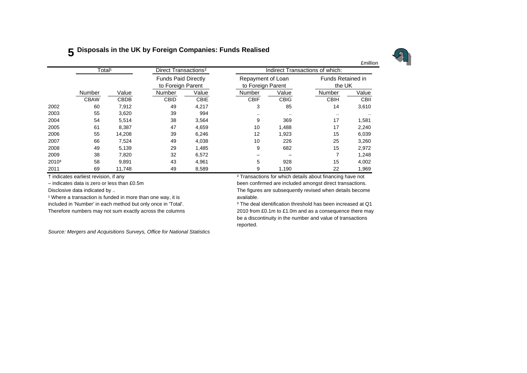## **5 Disposals in the UK by Foreign Companies: Funds Realised**



|                   |                    |             |                                  |                                                 |               |                                 |                                        | £millior    |                                    |  |
|-------------------|--------------------|-------------|----------------------------------|-------------------------------------------------|---------------|---------------------------------|----------------------------------------|-------------|------------------------------------|--|
|                   | Total <sup>1</sup> |             | Direct Transactions <sup>2</sup> |                                                 |               | Indirect Transactions of which: |                                        |             |                                    |  |
|                   |                    |             |                                  | <b>Funds Paid Directly</b><br>to Foreign Parent |               |                                 | Repayment of Loan<br>to Foreign Parent |             | <b>Funds Retained in</b><br>the UK |  |
|                   | Number             | Value       | Number                           | Value                                           | Number        | Value                           | Number                                 | Value       |                                    |  |
|                   | <b>CBAW</b>        | <b>CBDB</b> | <b>CBID</b>                      | <b>CBIE</b>                                     | <b>CBIF</b>   | <b>CBIG</b>                     | <b>CBIH</b>                            | <b>CBII</b> |                                    |  |
| 2002              | 60                 | 7,912       | 49                               | 4,217                                           | 3             | 85                              | 14                                     | 3,610       |                                    |  |
| 2003              | 55                 | 3,620       | 39                               | 994                                             | $\sim$ $\sim$ | $\cdot$ .                       | $\sim$ $\sim$                          |             |                                    |  |
| 2004              | 54                 | 5,514       | 38                               | 3,564                                           | 9             | 369                             | 17                                     | 1,581       |                                    |  |
| 2005              | 61                 | 8,387       | 47                               | 4,659                                           | 10            | 1,488                           | 17                                     | 2,240       |                                    |  |
| 2006              | 55                 | 14,208      | 39                               | 6,246                                           | 12            | 1,923                           | 15                                     | 6,039       |                                    |  |
| 2007              | 66                 | 7,524       | 49                               | 4,038                                           | 10            | 226                             | 25                                     | 3,260       |                                    |  |
| 2008              | 49                 | 5,139       | 29                               | 1,485                                           | 9             | 682                             | 15                                     | 2,972       |                                    |  |
| 2009              | 38                 | 7.820       | 32                               | 6,572                                           |               |                                 | 7                                      | 1,248       |                                    |  |
| 2010 <sup>3</sup> | 58                 | 9,891       | 43                               | 4,961                                           | 5             | 928                             | 15                                     | 4,002       |                                    |  |
| 2011              | 69                 | 11,748      | 49                               | 8,589                                           | 9             | 1,190                           | 22                                     | 1,969       |                                    |  |

<sup>1</sup> Where a transaction is funded in more than one way, it is **available**. included in 'Number' in each method but only once in 'Total'. <sup>3</sup> The deal identification threshold has been increased at Q1

*Source: Mergers and Acquisitions Surveys, Office for National Statistics*

† indicates earliest revision, if any ² Transactions for which details about financing have not

– indicates data is zero or less than £0.5m been confirmed are included amongst direct transactions. Disclosive data indicated by .. The figures are subsequently revised when details become

Therefore numbers may not sum exactly across the columns 2010 from £0.1m to £1.0m and as a consequence there may be a discontinuity in the number and value of transactions reported.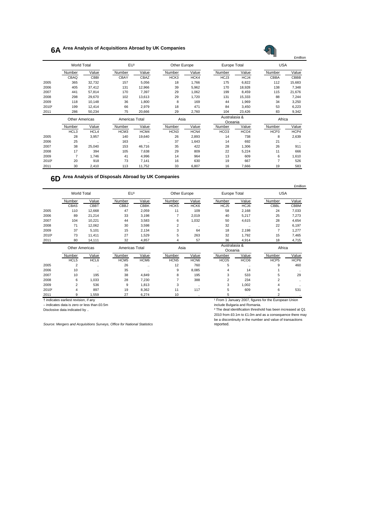# **6A Area Analysis of Acquisitions Abroad by UK Companies**

# £million

|                   | <b>World Total</b>    |           | EU <sup>1</sup>  |          | Other Europe     |       | Europe Total     |                  | <b>USA</b>     |           |
|-------------------|-----------------------|-----------|------------------|----------|------------------|-------|------------------|------------------|----------------|-----------|
|                   | Number                | Value     | Number           | Value    | Number           | Value | Number           | Value            | Number         | Value     |
|                   | CBAQ                  | CBBI      | CBAY             | CBAZ     | HCK3             | HCK4  | HCJ3             | HCJ4             | <b>CBBA</b>    | CBBB      |
| 2005              | 365                   | 32,732    | 157              | 5,056    | 18               | 1,766 | 175              | 6,822            | 112            | 15,683    |
| 2006              | 405                   | 37,412    | 131              | 12,966   | 39               | 5,962 | 170              | 18,928           | 138            | 7,348     |
| 2007              | 441                   | 57,814    | 170              | 7,397    | 29               | 1,062 | 199              | 8,459            | 115            | 21,676    |
| 2008              | 298                   | 29,670    | 102              | 13,613   | 29               | 1,720 | 131              | 15,333           | 88             | 7,244     |
| 2009              | 118                   | 10,148    | 36               | 1.800    | 8                | 169   | 44               | 1,969            | 34             | 3,250     |
| 2010 <sup>2</sup> | 199                   | 12,414    | 66               | 2,979    | 18               | 471   | 84               | 3.450            | 53             | 6,223     |
| 2011              | 286                   | 50,234    | 75               | 20,666   | 29               | 2,760 | 104              | 23,426           | 83             | 9,342     |
|                   | <b>Other Americas</b> |           | Americas Total   |          | Asia             |       | Australasia &    |                  | Africa         |           |
|                   |                       |           |                  |          |                  |       | Oceania          |                  |                |           |
|                   | Number                | Value     | Number           | Value    | Number           | Value | Number           | Value            | Number         | Value     |
|                   | HCL3                  | HCL4      | HCM <sub>3</sub> | HCM4     | HCN <sub>3</sub> | HCN4  | HCO <sub>3</sub> | HCO <sub>4</sub> | HCP3           | HCP4      |
| 2005              | 28                    | 3,957     | 140              | 19,640   | 26               | 2,893 | 14               | 738              | 8              | 2,639     |
| 2006              | 25                    | $\ddotsc$ | 163              | $\ldots$ | 37               | 1,643 | 14               | 692              | 21             | $\ddotsc$ |
| 2007              | 38                    | 25,040    | 153              | 46,716   | 35               | 422   | 28               | 1,306            | 26             | 911       |
| 2008              | 17                    | 394       | 105              | 7,638    | 29               | 809   | 22               | 5,224            | 11             | 666       |
| 2009              | 7                     | 1,746     | 41               | 4,996    | 14               | 964   | 13               | 609              | 6              | 1,610     |
| 2010 <sup>2</sup> | 20                    | 918       | 73               | 7,141    | 16               | 630   | 19               | 667              | $\overline{7}$ | 526       |
| 2011              | 30                    | 2,410     | 113              | 11,752   | 33               | 6,807 | 16               | 7,666            | 19             | 583       |

**6D Area Analysis of Disposals Abroad by UK Companies**

|                   |                    |             |                 |             |                  |                  |              |           |            | <b>£million</b> |
|-------------------|--------------------|-------------|-----------------|-------------|------------------|------------------|--------------|-----------|------------|-----------------|
|                   | <b>World Total</b> |             | EU <sup>1</sup> |             | Other Europe     |                  | Europe Total |           | <b>USA</b> |                 |
|                   | Number             | Value       | Number          | Value       | Number           | Value            | Number       | Value     | Number     | Value           |
|                   | CBAS               | <b>CBBT</b> | <b>CBBJ</b>     | <b>CBBK</b> | HCK <sub>5</sub> | HCK <sub>6</sub> | HCJ5         | HCJ6      | CBBL       | <b>CBBM</b>     |
| 2005              | 110                | 12,668      | 47              | 2,059       | 11               | 109              | 58           | 2,168     | 24         | 7,033           |
| 2006              | 89                 | 21.214      | 33              | 3.198       |                  | 2.019            | 40           | 5,217     | 25         | 7,273           |
| 2007              | 104                | 10.221      | 44              | 3,583       | 6                | 1,032            | 50           | 4,615     | 28         | 4,654           |
| 2008              | 71                 | 12.062      | 30              | 3,598       | 2                | $\ldots$         | 32           | $\ddotsc$ | 22         | 6,197           |
| 2009              | 37                 | 5.101       | 15              | 2.134       | 3                | 64               | 18           | 2,198     |            | 1,277           |
| 2010 <sup>2</sup> | 73                 | 11.411      | 27              | 1.529       | 5                | 263              | 32           | 1.792     | 15         | 7,465           |
| 2011              | 80                 | 14.111      | 32              | 4,857       | 4                | 57               | 36           | 4,914     | 18         | 4,715           |

|                   | Other Americas |       | Americas Total   |                  | Asia             |                  | Australasia &<br>Oceania |                  | Africa           |          |
|-------------------|----------------|-------|------------------|------------------|------------------|------------------|--------------------------|------------------|------------------|----------|
|                   | Number         | Value | Number           | Value            | Number           | Value            | Number                   | Value            | Number           | Value    |
|                   | HCL5           | HCL6  | HCM <sub>5</sub> | HCM <sub>6</sub> | HCN <sub>5</sub> | HCN <sub>6</sub> | HCO <sub>5</sub>         | HCO <sub>6</sub> | HCP <sub>5</sub> | HCP6     |
| 2005              |                |       | 26               | $\cdots$         | 12               | 760              | 5                        | $\cdots$         | 9                | 460      |
| 2006              | 10             |       | 35               |                  | 9                | 8.085            | 4                        | 14               |                  |          |
| 2007              | 10             | 195   | 38               | 4.849            | 8                | 195              | 3                        | 533              | 5                | 29       |
| 2008              | 6              | 1.033 | 28               | 7.230            |                  | 388              |                          | 234              | ີ                |          |
| 2009              | ◠              | 536   | 9                | 1.813            | 3                | $\cdot$          | 3                        | 1.002            |                  |          |
| 2010 <sup>2</sup> | 4              | 897   | 19               | 8,362            | 11               | 117              | 5                        | 609              | 6                | 531      |
| 2011              | 9              | 1,559 | 27               | 6,274            | 10               | $\cdot$          |                          | $\cdots$         |                  | $\cdots$ |

– indicates data is zero or less than £0.5m<br>Disclosive data indicated by ..

† indicates earliest revision, if any ¹ From 1 January 2007, figures for the European Union Prom Polandary 2007, hydrobiotic disclosive disclosive microsicial include Bulgaria and Romania.<br>
<sup>2</sup> The deal identification threshold has been increased at Q1

2010 from £0.1m to £1.0m and as a consequence there may be a discontinuity in the number and value of transactions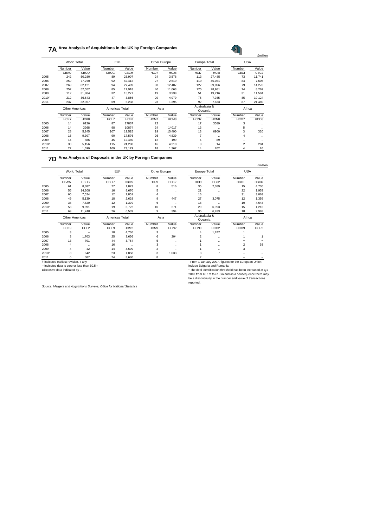#### **7A Area Analysis of Acquisitions in the UK by Foreign Companies**

|                   | World Total           |        | EU <sup>1</sup> |        | Other Europe |        | <b>Europe Total</b> |                          | <b>USA</b> |                  |  |
|-------------------|-----------------------|--------|-----------------|--------|--------------|--------|---------------------|--------------------------|------------|------------------|--|
|                   | Number                | Value  | Number          | Value  | Number       | Value  | Number              | Value                    | Number     | Value            |  |
|                   | CBAU                  | CBCQ   | CBCG            | CBCH   | HCJ7         | HCJ8   | HCI7                | HC <sub>18</sub>         | CBCI       | <b>CBCJ</b>      |  |
| 2005              | 242                   | 50,280 | 89              | 23,907 | 24           | 3,578  | 113                 | 27,485                   | 73         | 11,741           |  |
| 2006              | 259                   | 77.750 | 92              | 42.412 | 27           | 2.619  | 119                 | 45,031                   | 84         | 7,606            |  |
| 2007              | 269                   | 82.121 | 94              | 27.489 | 33           | 12.407 | 127                 | 39,896                   | 79         | 14,270           |  |
| 2008              | 252                   | 52.552 | 85              | 17.918 | 40           | 11.063 | 125                 | 28.981                   | 74         | 8,269            |  |
| 2009              | 112                   | 31,984 | 32              | 15.277 | 19           | 3,939  | 51                  | 19,216                   | 31         | 11,594           |  |
| 2010 <sup>2</sup> | 212                   | 36,643 | 47              | 3.856  | 29           | 4.079  | 76                  | 7,935                    | 85         | 19,124           |  |
| 2011              | 237                   | 32.967 | 69              | 6.238  | 23           | 1.395  | 92                  | 7.633                    | 87         | 21,489           |  |
|                   | <b>Other Americas</b> |        | Americas Total  |        |              | Asia   |                     | Australasia &<br>Oceania |            | Africa           |  |
|                   | Number                | Value  | Number          | Value  | Number       | Value  | Number              | Value                    | Number     | Value            |  |
|                   | HCK7                  | HCK8   | HCL7            | HCL8   | HCM7         | HCM8   | HCN7                | HCN <sub>8</sub>         | HCO7       | HCO <sub>8</sub> |  |
| 2005              | 14                    | 6126   | 87              | 17867  | 22           |        | 17                  | 3589                     | 3          | ٠.               |  |
| 2006              | 14                    | 3268   | 98              | 10874  | 24           | 14017  | 13                  |                          | 5          |                  |  |
| 2007              | 28                    | 5.245  | 107             | 19.515 | 19           | 15.490 | 13                  | 6900                     | 3          | 320              |  |
| 2008              | 16                    | 9.307  | 90              | 17.576 | 26           | 4.839  | $\overline{7}$      | $\ddot{\phantom{a}}$     | 4          | ٠.               |  |
| 2009              | 14                    | 886    | 45              | 12,480 | 12           | 199    | 4                   | 89                       |            |                  |  |
| 2010 <sup>2</sup> | 30                    | 5.156  | 115             | 24,280 | 16           | 4.210  | 3                   | 14                       | 2          | 204              |  |
| 2011              | 22                    | 1.690  | 109             | 23.179 | 18           | 1.367  | 14                  | 762                      | 4          | 26               |  |

#### **7D Area Analysis of Disposals in the UK by Foreign Companies**

|                   |                       |                  |                 |             |                |                      |                          |                      |                  | <b>£million</b>  |
|-------------------|-----------------------|------------------|-----------------|-------------|----------------|----------------------|--------------------------|----------------------|------------------|------------------|
|                   | <b>World Total</b>    |                  | EU <sup>1</sup> |             | Other Europe   |                      | <b>Europe Total</b>      |                      | <b>USA</b>       |                  |
|                   | Number                | Value            | Number          | Value       | Number         | Value                | Number                   | Value                | Number           | Value            |
|                   | CBAW                  | CBDB             | <b>CBCR</b>     | <b>CBCS</b> | HCJ9           | HCK <sub>2</sub>     | HCI9                     | HCJ2                 | CBCT             | CBCU             |
| 2005              | 61                    | 8,387            | 27              | 1,873       | 8              | 516                  | 35                       | 2,389                | 15               | 4,736            |
| 2006              | 55                    | 14,208           | 16              | 8,670       | 5              | $\ddotsc$            | 21                       |                      | 22               | 1,953            |
| 2007              | 66                    | 7,524            | 12              | 2,851       | 4              | $\ddotsc$            | 16                       | $\ddot{\phantom{a}}$ | 31               | 3,063            |
| 2008              | 49                    | 5,139            | 18              | 2,628       | 9              | 447                  | 27                       | 3,075                | 12               | 1,359            |
| 2009              | 38                    | 7,820            | 12              | 1,370       | 6              | $\ddotsc$            | 18                       | $\ldots$             | 10               | 4,648            |
| 2010 <sup>2</sup> | 58                    | 9,891            | 19              | 6,722       | 10             | 271                  | 29                       | 6,993                | 15               | 1,216            |
| 2011              | 69                    | 11,748           | 26              | 6,539       | 9              | 394                  | 35                       | 6,933                | 18               | 2,993            |
|                   | <b>Other Americas</b> |                  | Americas Total  |             | Asia           |                      | Australasia &<br>Oceania |                      | Africa           |                  |
|                   | Number                | Value            | Number          | Value       | Number         | Value                | Number                   | Value                | Number           | Value            |
|                   | HCK9                  | HCL <sub>2</sub> | HCL9            | HCM2        | HCM9           | HCN <sub>2</sub>     | HCN <sub>9</sub>         | HCO <sub>2</sub>     | HCO <sub>9</sub> | HCP <sub>2</sub> |
| 2005              | 3                     |                  | 18              | 4,736       | 3              | $\ddotsc$            | 4                        | 1,242                |                  |                  |
| 2006              | 3                     | 1,703            | 25              | 3,656       | 6              | 204                  | 2                        |                      |                  |                  |
| 2007              | 13                    | 701              | 44              | 3,764       | 5              | $\ldots$             |                          |                      |                  |                  |
| 2008              | 4                     | $\ldots$         | 16              | $\ldots$    | 3              | $\cdots$             |                          |                      | $\overline{2}$   | 93               |
| 2009              | 4                     | 42               | 14              | 4,690       | $\overline{2}$ | $\ddot{\phantom{1}}$ |                          |                      | 3                |                  |
| 2010 <sup>2</sup> | 8                     | 642              | 23              | 1,858       | 3              | 1,033                | 3                        | 7                    |                  |                  |

– indicates data is zero or less than £0.5m include Bulgaria and Romania.

2011 6 687 24 3,680 8 .. 2 .. – – † indicates earliest revision, if any ¹ From 1 January 2007, figures for the European Union

Disclosive data indicated by .. ² The deal identification threshold has been increased at Q1 2010 from £0.1m to £1.0m and as a consequence there may be a discontinuity in the number and value of transactions reported.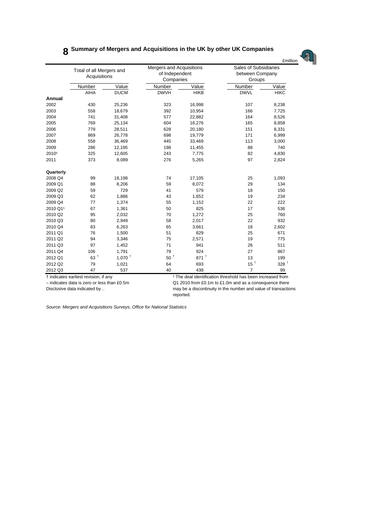# **8 Summary of Mergers and Acquisitions in the UK by other UK Companies**



|           | Total of all Mergers and<br>Acquisitions |                      | Mergers and Acquisitions<br>of Independent<br>Companies |                    | Sales of Subsidiaries<br>between Company<br>Groups |                  |  |
|-----------|------------------------------------------|----------------------|---------------------------------------------------------|--------------------|----------------------------------------------------|------------------|--|
|           | Number                                   | Value                | Number                                                  | Value              | Number                                             | Value            |  |
|           | AIHA                                     | <b>DUCM</b>          | <b>DWVH</b>                                             | <b>HIKB</b>        | <b>DWVL</b>                                        | <b>HIKC</b>      |  |
| Annual    |                                          |                      |                                                         |                    |                                                    |                  |  |
| 2002      | 430                                      | 25,236               | 323                                                     | 16,998             | 107                                                | 8,238            |  |
| 2003      | 558                                      | 18,679               | 392                                                     | 10,954             | 166                                                | 7,725            |  |
| 2004      | 741                                      | 31,408               | 577                                                     | 22,882             | 164                                                | 8,526            |  |
| 2005      | 769                                      | 25,134               | 604                                                     | 16,276             | 165                                                | 8,858            |  |
| 2006      | 779                                      | 28,511               | 628                                                     | 20,180             | 151                                                | 8,331            |  |
| 2007      | 869                                      | 26,778               | 698                                                     | 19,779             | 171                                                | 6,999            |  |
| 2008      | 558                                      | 36,469               | 445                                                     | 33,469             | 113                                                | 3,000            |  |
| 2009      | 286                                      | 12,195               | 198                                                     | 11,455             | 88                                                 | 740              |  |
| 20101     | 325                                      | 12,605               | 243                                                     | 7,775              | 82                                                 | 4,830            |  |
| 2011      | 373                                      | 8,089                | 276                                                     | 5,265              | 97                                                 | 2,824            |  |
| Quarterly |                                          |                      |                                                         |                    |                                                    |                  |  |
| 2008 Q4   | 99                                       | 18,198               | 74                                                      | 17,105             | 25                                                 | 1,093            |  |
| 2009 Q1   | 88                                       | 8,206                | 59                                                      | 8,072              | 29                                                 | 134              |  |
| 2009 Q2   | 59                                       | 729                  | 41                                                      | 579                | 18                                                 | 150              |  |
| 2009 Q3   | 62                                       | 1,886                | 43                                                      | 1,652              | 19                                                 | 234              |  |
| 2009 Q4   | 77                                       | 1,374                | 55                                                      | 1,152              | 22                                                 | 222              |  |
| 2010 Q11  | 67                                       | 1,361                | 50                                                      | 825                | 17                                                 | 536              |  |
| 2010 Q2   | 95                                       | 2,032                | 70                                                      | 1,272              | 25                                                 | 760              |  |
| 2010 Q3   | 80                                       | 2,949                | 58                                                      | 2,017              | 22                                                 | 932              |  |
| 2010 Q4   | 83                                       | 6,263                | 65                                                      | 3,661              | 18                                                 | 2,602            |  |
| 2011 Q1   | 76                                       | 1,500                | 51                                                      | 829                | 25                                                 | 671              |  |
| 2011 Q2   | 94                                       | 3,346                | 75                                                      | 2,571              | 19                                                 | 775              |  |
| 2011 Q3   | 97                                       | 1,452                | 71                                                      | 941                | 26                                                 | 511              |  |
| 2011 Q4   | 106                                      | 1,791                | 79                                                      | 924                | 27                                                 | 867              |  |
| 2012 Q1   | $63$ <sup>+</sup>                        | $1,070$ <sup>+</sup> | $50$ $^\dagger$                                         | $871$ <sup>+</sup> | 13                                                 | 199              |  |
| 2012 Q2   | 79                                       | 1,021                | 64                                                      | 693                | 15 $+$                                             | 328 <sup>†</sup> |  |
| 2012 Q3   | 47                                       | 537                  | 40                                                      | 438                | $\overline{7}$                                     | 99               |  |

† indicates earliest revision, if any ¹ The deal identification threshold has been increased from – indicates data is zero or less than £0.5m Q1 2010 from £0.1m to £1.0m and as a consequence there Disclosive data indicated by .. https://www.may be a discontinuity in the number and value of transactions reported.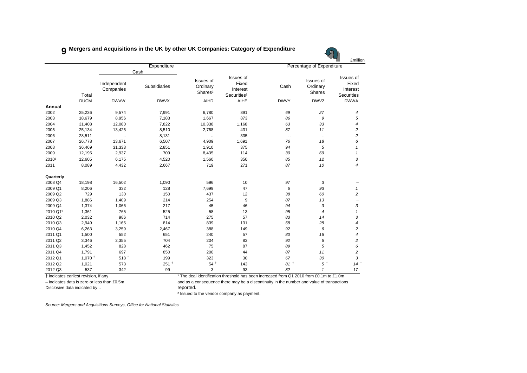#### **9 Mergers and Acquisitions in the UK by other UK Companies: Category of Expenditure**

|           |                                       |                          |                      |                                              |                                                                                                    |                 |                                 | £millior                                            |
|-----------|---------------------------------------|--------------------------|----------------------|----------------------------------------------|----------------------------------------------------------------------------------------------------|-----------------|---------------------------------|-----------------------------------------------------|
|           |                                       |                          | Expenditure          |                                              |                                                                                                    |                 | Percentage of Expenditure       |                                                     |
|           | Total                                 | Independent<br>Companies | Cash<br>Subsidiaries | Issues of<br>Ordinary<br>Shares <sup>2</sup> | Issues of<br>Fixed<br>Interest<br>Securities <sup>2</sup>                                          | Cash            | Issues of<br>Ordinary<br>Shares | Issues of<br>Fixed<br>Interest<br><b>Securities</b> |
|           | <b>DUCM</b>                           | <b>DWVW</b>              | <b>DWVX</b>          | <b>AIHD</b>                                  | <b>AIHE</b>                                                                                        | <b>DWVY</b>     | <b>DWVZ</b>                     | <b>DWWA</b>                                         |
| Annual    |                                       |                          |                      |                                              |                                                                                                    |                 |                                 |                                                     |
| 2002      | 25,236                                | 9,574                    | 7,991                | 6,780                                        | 891                                                                                                | 69              | 27                              | 4                                                   |
| 2003      | 18,679                                | 8,956                    | 7,183                | 1,667                                        | 873                                                                                                | 86              | 9                               | 5                                                   |
| 2004      | 31,408                                | 12,080                   | 7,822                | 10,338                                       | 1,168                                                                                              | 63              | 33                              | $\overline{4}$                                      |
| 2005      | 25,134                                | 13,425                   | 8,510                | 2,768                                        | 431                                                                                                | 87              | 11                              | $\overline{c}$                                      |
| 2006      | 28,511                                | $\ddot{\phantom{a}}$     | 8,131                | $\ddotsc$                                    | 335                                                                                                | $\ldots$        | $\ddotsc$                       | $\overline{c}$                                      |
| 2007      | 26,778                                | 13,671                   | 6,507                | 4,909                                        | 1,691                                                                                              | 76              | 18                              | 6                                                   |
| 2008      | 36,469                                | 31,333                   | 2,851                | 1,910                                        | 375                                                                                                | 94              | 5                               | $\mathbf{1}$                                        |
| 2009      | 12,195                                | 2,937                    | 709                  | 8,435                                        | 114                                                                                                | 30              | 69                              | $\mathbf{1}$                                        |
| 20101     | 12,605                                | 6,175                    | 4,520                | 1,560                                        | 350                                                                                                | 85              | 12                              | 3                                                   |
| 2011      | 8,089                                 | 4,432                    | 2,667                | 719                                          | 271                                                                                                | 87              | 10                              | $\overline{4}$                                      |
| Quarterly |                                       |                          |                      |                                              |                                                                                                    |                 |                                 |                                                     |
| 2008 Q4   | 18,198                                | 16,502                   | 1,090                | 596                                          | 10                                                                                                 | 97              | 3                               |                                                     |
| 2009 Q1   | 8,206                                 | 332                      | 128                  | 7,699                                        | 47                                                                                                 | 6               | 93                              | $\mathbf{1}$                                        |
| 2009 Q2   | 729                                   | 130                      | 150                  | 437                                          | 12                                                                                                 | 38              | 60                              | $\overline{c}$                                      |
| 2009 Q3   | 1,886                                 | 1,409                    | 214                  | 254                                          | 9                                                                                                  | 87              | 13                              |                                                     |
| 2009 Q4   | 1,374                                 | 1,066                    | 217                  | 45                                           | 46                                                                                                 | 94              | 3                               | 3                                                   |
| 2010 Q11  | 1,361                                 | 765                      | 525                  | 58                                           | 13                                                                                                 | 95              | $\overline{\mathcal{A}}$        | $\mathbf{1}$                                        |
| 2010 Q2   | 2,032                                 | 986                      | 714                  | 275                                          | 57                                                                                                 | 83              | 14                              | 3                                                   |
| 2010 Q3   | 2,949                                 | 1,165                    | 814                  | 839                                          | 131                                                                                                | 68              | 28                              | 4                                                   |
| 2010 Q4   | 6,263                                 | 3,259                    | 2,467                | 388                                          | 149                                                                                                | 92              | 6                               | 2                                                   |
| 2011 Q1   | 1,500                                 | 552                      | 651                  | 240                                          | 57                                                                                                 | 80              | 16                              | 4                                                   |
| 2011 Q2   | 3,346                                 | 2,355                    | 704                  | 204                                          | 83                                                                                                 | 92              | 6                               | $\overline{\mathbf{c}}$                             |
| 2011 Q3   | 1,452                                 | 828                      | 462                  | 75                                           | 87                                                                                                 | 89              | 5                               | 6                                                   |
| 2011 Q4   | 1,791                                 | 697                      | 850                  | 200                                          | 44                                                                                                 | 87              | 11                              | $\overline{c}$                                      |
| 2012 Q1   | $1.070 +$                             | $518$ <sup>+</sup>       | 199                  | 323                                          | 30                                                                                                 | 67              | 30                              | 3                                                   |
| 2012 Q2   | 1,021                                 | 573                      | $251^+$              | $54$ <sup>+</sup>                            | 143                                                                                                | 81 <sup>†</sup> | $5^{\circ}$                     | $14^{\frac{1}{2}}$                                  |
| 2012 Q3   | 537                                   | 342                      | 99                   | 3                                            | 93                                                                                                 | 82              | $\overline{1}$                  | 17                                                  |
|           | t indicates earliest revision, if any |                          |                      |                                              | <sup>1</sup> The deal identification threshold has been increased from Q1 2010 from £0.1m to £1.0m |                 |                                 |                                                     |

Disclosive data indicated by .. The contract of the contract of the proof reported.

– indicates data is zero or less than £0.5m and as a consequence there may be a discontinuity in the number and value of transactions

² Issued to the vendor company as payment.

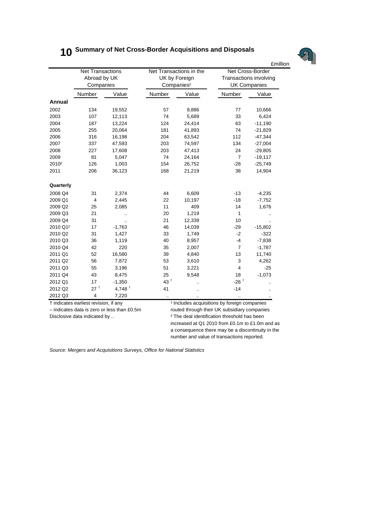# **10 Summary of Net Cross-Border Acquisitions and Disposals**



|                   |                                                      |           |                                                                    |           |                                                                   | <b>£million</b>      |  |
|-------------------|------------------------------------------------------|-----------|--------------------------------------------------------------------|-----------|-------------------------------------------------------------------|----------------------|--|
|                   | <b>Net Transactions</b><br>Abroad by UK<br>Companies |           | Net Transactions in the<br>UK by Foreign<br>Companies <sup>1</sup> |           | Net Cross-Border<br>Transactions involving<br><b>UK Companies</b> |                      |  |
|                   | Number                                               | Value     | Number                                                             | Value     | Number                                                            | Value                |  |
| <b>Annual</b>     |                                                      |           |                                                                    |           |                                                                   |                      |  |
| 2002              | 134                                                  | 19,552    | 57                                                                 | 8,886     | 77                                                                | 10,666               |  |
| 2003              | 107                                                  | 12,113    | 74                                                                 | 5,689     | 33                                                                | 6,424                |  |
| 2004              | 187                                                  | 13,224    | 124                                                                | 24,414    | 63                                                                | $-11,190$            |  |
| 2005              | 255                                                  | 20,064    | 181                                                                | 41,893    | 74                                                                | $-21,829$            |  |
| 2006              | 316                                                  | 16,198    | 204                                                                | 63,542    | 112                                                               | $-47,344$            |  |
| 2007              | 337                                                  | 47,593    | 203                                                                | 74,597    | 134                                                               | $-27,004$            |  |
| 2008              | 227                                                  | 17,608    | 203                                                                | 47,413    | 24                                                                | $-29,805$            |  |
| 2009              | 81                                                   | 5,047     | 74                                                                 | 24,164    | $\overline{7}$                                                    | $-19,117$            |  |
| 2010 <sup>2</sup> | 126                                                  | 1,003     | 154                                                                | 26,752    | $-28$                                                             | $-25,749$            |  |
| 2011              | 206                                                  | 36,123    | 168                                                                | 21,219    | 38                                                                | 14,904               |  |
| Quarterly         |                                                      |           |                                                                    |           |                                                                   |                      |  |
| 2008 Q4           | 31                                                   | 2,374     | 44                                                                 | 6,609     | $-13$                                                             | $-4,235$             |  |
| 2009 Q1           | $\overline{4}$                                       | 2,445     | 22                                                                 | 10,197    | $-18$                                                             | $-7,752$             |  |
| 2009 Q2           | 25                                                   | 2,085     | 11                                                                 | 409       | 14                                                                | 1,676                |  |
| 2009 Q3           | 21                                                   |           | 20                                                                 | 1,219     | 1                                                                 |                      |  |
| 2009 Q4           | 31                                                   |           | 21                                                                 | 12,339    | 10                                                                | $\ddot{\phantom{0}}$ |  |
| 2010 Q12          | 17                                                   | $-1,763$  | 46                                                                 | 14,039    | $-29$                                                             | $-15,802$            |  |
| 2010 Q2           | 31                                                   | 1,427     | 33                                                                 | 1,749     | $-2$                                                              | $-322$               |  |
| 2010 Q3           | 36                                                   | 1,119     | 40                                                                 | 8,957     | $-4$                                                              | $-7,838$             |  |
| 2010 Q4           | 42                                                   | 220       | 35                                                                 | 2,007     | $\overline{7}$                                                    | $-1,787$             |  |
| 2011 Q1           | 52                                                   | 16,580    | 39                                                                 | 4,840     | 13                                                                | 11,740               |  |
| 2011 Q2           | 56                                                   | 7,872     | 53                                                                 | 3,610     | 3                                                                 | 4,262                |  |
| 2011 Q3           | 55                                                   | 3,196     | 51                                                                 | 3,221     | $\overline{4}$                                                    | $-25$                |  |
| 2011 Q4           | 43                                                   | 8,475     | 25                                                                 | 9,548     | 18                                                                | $-1,073$             |  |
| 2012 Q1           | 17                                                   | $-1,350$  | $43^{\mathrm{+}}$                                                  |           | $-26$ <sup>+</sup>                                                |                      |  |
| 2012 Q2           | 27 <sup>†</sup>                                      | 4,748 $†$ | 41                                                                 |           | $-14$                                                             |                      |  |
| 2012 Q3           | 4                                                    | 7,220     | $\ddotsc$                                                          | $\cdot$ . | $\ldots$                                                          | $\cdot$ .            |  |

† indicates earliest revision, if any ¹ Includes acquisitions by foreign companies

– indicates data is zero or less than £0.5m routed through their UK subsidiary companies Disclosive data indicated by ..  $\qquad \qquad ^2$  The deal identification threshold has been increased at Q1 2010 from £0.1m to £1.0m and as a consequence there may be a discontinuity in the number and value of transactions reported.